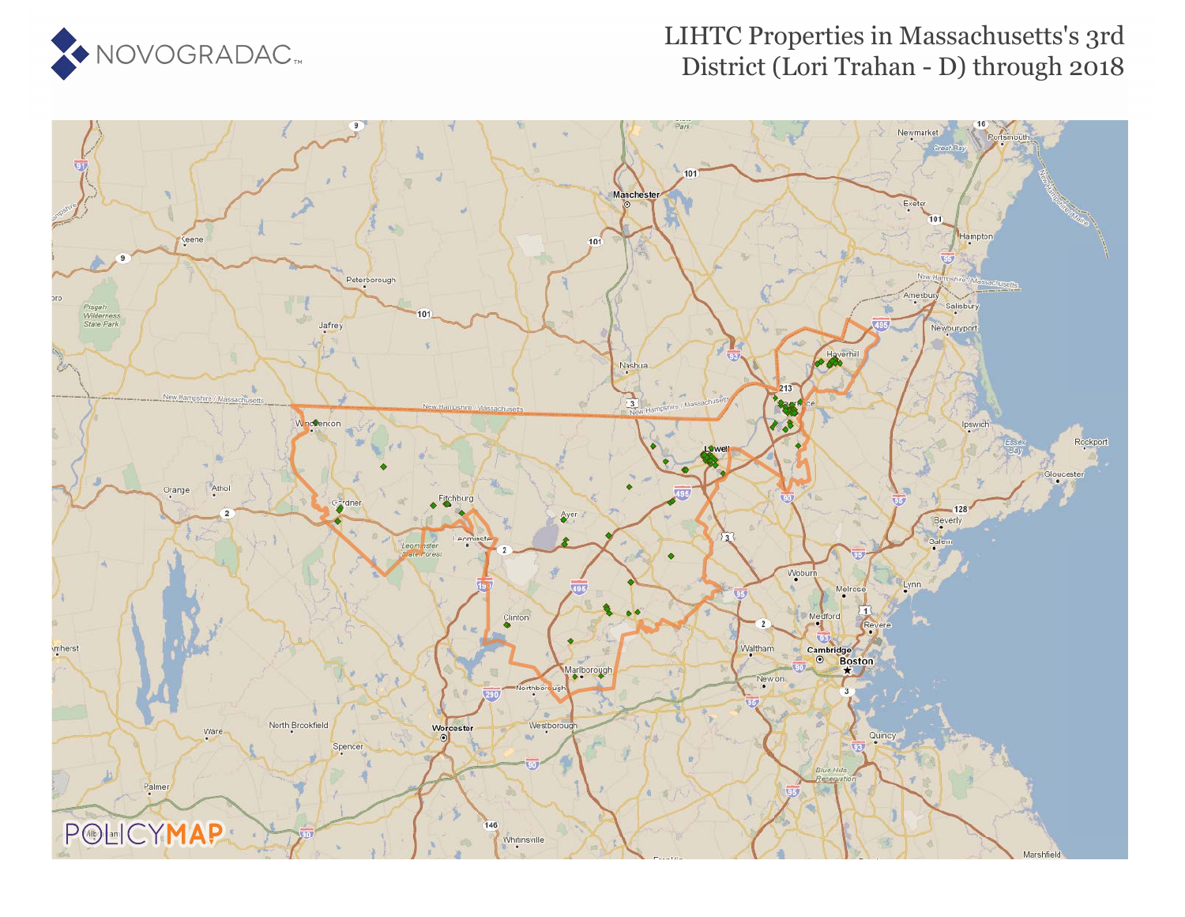

### LIHTC Properties in Massachusetts's 3rd District (Lori Trahan - D) through 2018

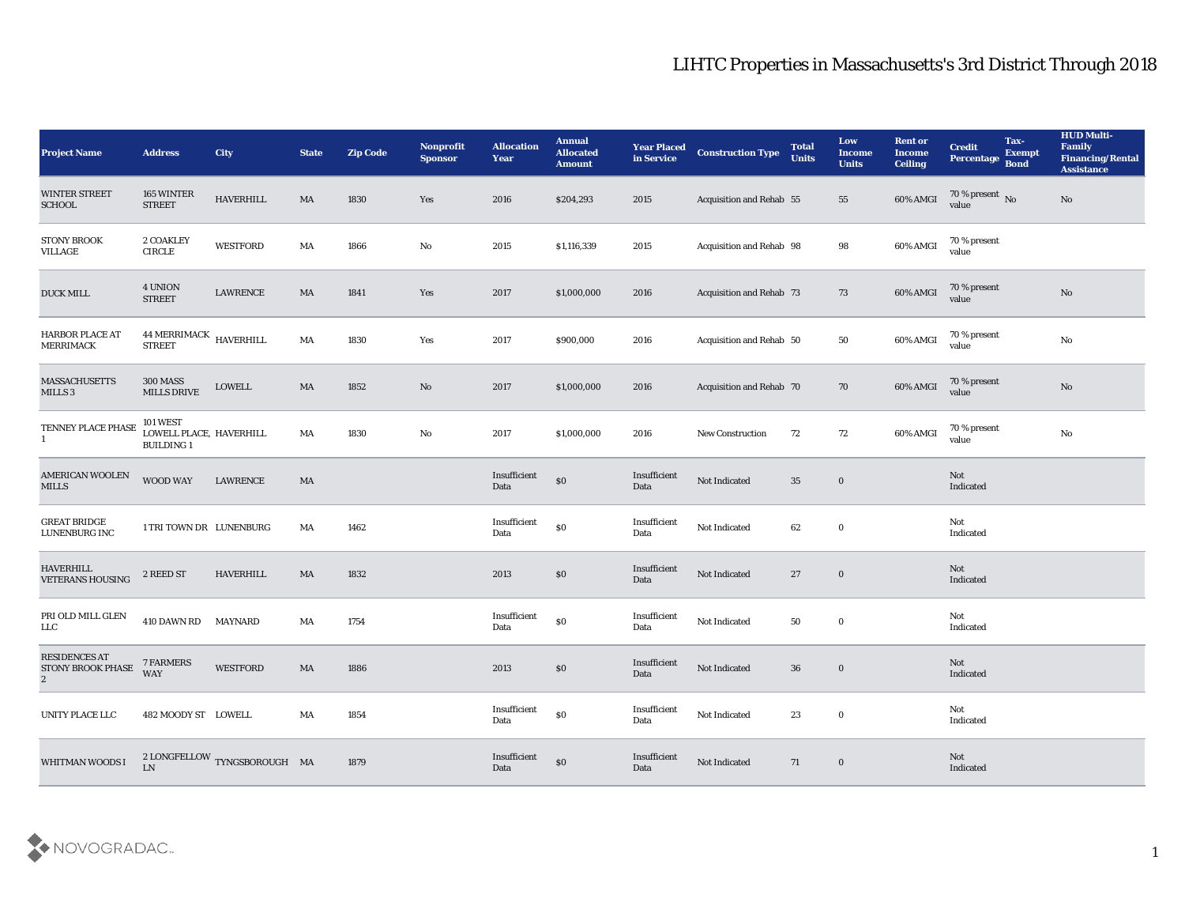| <b>Project Name</b>                                           | <b>Address</b>                                                 | <b>City</b>                                   | <b>State</b> | <b>Zip Code</b> | Nonprofit<br><b>Sponsor</b> | <b>Allocation</b><br><b>Year</b> | <b>Annual</b><br><b>Allocated</b><br><b>Amount</b> | <b>Year Placed</b><br>in Service | <b>Construction Type</b>        | <b>Total</b><br><b>Units</b> | Low<br>Income<br><b>Units</b> | <b>Rent or</b><br>Income<br><b>Ceiling</b> | <b>Credit</b><br>Percentage    | Tax-<br><b>Exempt</b><br><b>Bond</b> | <b>HUD Multi-</b><br>Family<br><b>Financing/Rental</b><br><b>Assistance</b> |
|---------------------------------------------------------------|----------------------------------------------------------------|-----------------------------------------------|--------------|-----------------|-----------------------------|----------------------------------|----------------------------------------------------|----------------------------------|---------------------------------|------------------------------|-------------------------------|--------------------------------------------|--------------------------------|--------------------------------------|-----------------------------------------------------------------------------|
| <b>WINTER STREET</b><br><b>SCHOOL</b>                         | 165 WINTER<br><b>STREET</b>                                    | <b>HAVERHILL</b>                              | MA           | 1830            | Yes                         | 2016                             | \$204,293                                          | 2015                             | <b>Acquisition and Rehab 55</b> |                              | 55                            | 60% AMGI                                   | $70\,\%$ present $\,$ No value |                                      | $\mathbf{N}\mathbf{o}$                                                      |
| STONY BROOK<br>VILLAGE                                        | 2 COAKLEY<br>$\ensuremath{\mathsf{CIRCLE}}$                    | <b>WESTFORD</b>                               | MA           | 1866            | No                          | 2015                             | \$1,116,339                                        | 2015                             | Acquisition and Rehab 98        |                              | 98                            | 60% AMGI                                   | 70 % present<br>value          |                                      |                                                                             |
| <b>DUCK MILL</b>                                              | 4 UNION<br><b>STREET</b>                                       | LAWRENCE                                      | MA           | 1841            | Yes                         | 2017                             | \$1,000,000                                        | 2016                             | Acquisition and Rehab 73        |                              | 73                            | $60\%$ AMGI                                | 70 % present<br>value          |                                      | $\rm \bf No$                                                                |
| <b>HARBOR PLACE AT</b><br><b>MERRIMACK</b>                    | 44 MERRIMACK HAVERHILL<br><b>STREET</b>                        |                                               | MA           | 1830            | Yes                         | 2017                             | \$900,000                                          | 2016                             | Acquisition and Rehab 50        |                              | 50                            | 60% AMGI                                   | 70 % present<br>value          |                                      | $\mathbf{N}\mathbf{o}$                                                      |
| <b>MASSACHUSETTS</b><br>MILLS <sub>3</sub>                    | <b>300 MASS</b><br><b>MILLS DRIVE</b>                          | <b>LOWELL</b>                                 | MA           | 1852            | No                          | 2017                             | \$1,000,000                                        | 2016                             | Acquisition and Rehab 70        |                              | 70                            | 60% AMGI                                   | 70 % present<br>value          |                                      | $\rm \bf No$                                                                |
| TENNEY PLACE PHASE<br>$\mathbf{1}$                            | <b>101 WEST</b><br>LOWELL PLACE, HAVERHILL<br><b>BUILDING1</b> |                                               | MA           | 1830            | No                          | 2017                             | \$1,000,000                                        | 2016                             | <b>New Construction</b>         | 72                           | 72                            | 60% AMGI                                   | 70 % present<br>value          |                                      | $\mathbf{N}\mathbf{o}$                                                      |
| <b>AMERICAN WOOLEN</b><br><b>MILLS</b>                        | WOOD WAY                                                       | <b>LAWRENCE</b>                               | MA           |                 |                             | Insufficient<br>Data             | \$0                                                | Insufficient<br>Data             | Not Indicated                   | 35                           | $\mathbf 0$                   |                                            | Not<br>Indicated               |                                      |                                                                             |
| <b>GREAT BRIDGE</b><br>LUNENBURG INC                          | 1 TRI TOWN DR LUNENBURG                                        |                                               | MA           | 1462            |                             | Insufficient<br>Data             | $\$0$                                              | Insufficient<br>Data             | Not Indicated                   | 62                           | $\bf{0}$                      |                                            | Not<br>Indicated               |                                      |                                                                             |
| <b>HAVERHILL</b><br><b>VETERANS HOUSING</b>                   | 2 REED ST                                                      | <b>HAVERHILL</b>                              | MA           | 1832            |                             | 2013                             | \$0                                                | Insufficient<br>Data             | Not Indicated                   | 27                           | $\bf{0}$                      |                                            | Not<br>Indicated               |                                      |                                                                             |
| PRI OLD MILL GLEN<br>${\rm LLC}$                              | 410 DAWN RD                                                    | <b>MAYNARD</b>                                | MA           | 1754            |                             | Insufficient<br>Data             | $\$0$                                              | Insufficient<br>Data             | Not Indicated                   | 50                           | $\bf{0}$                      |                                            | Not<br>Indicated               |                                      |                                                                             |
| <b>RESIDENCES AT</b><br>STONY BROOK PHASE<br>$\boldsymbol{2}$ | 7 FARMERS<br>WAY                                               | <b>WESTFORD</b>                               | MA           | 1886            |                             | 2013                             | $\$0$                                              | Insufficient<br>Data             | Not Indicated                   | 36                           | $\bf{0}$                      |                                            | Not<br>Indicated               |                                      |                                                                             |
| UNITY PLACE LLC                                               | 482 MOODY ST LOWELL                                            |                                               | MA           | 1854            |                             | Insufficient<br>Data             | $\boldsymbol{\mathsf{S}}\boldsymbol{\mathsf{0}}$   | Insufficient<br>Data             | Not Indicated                   | 23                           | $\bf{0}$                      |                                            | Not<br>Indicated               |                                      |                                                                             |
| WHITMAN WOODS I                                               | LN                                                             | $2$ LONGFELLOW $\,$ TYNGSBOROUGH $\,$ MA $\,$ |              | 1879            |                             | $\bold{Insufficient}$<br>Data    | $\$0$                                              | Insufficient<br>Data             | Not Indicated                   | 71                           | $\bf{0}$                      |                                            | Not<br>Indicated               |                                      |                                                                             |

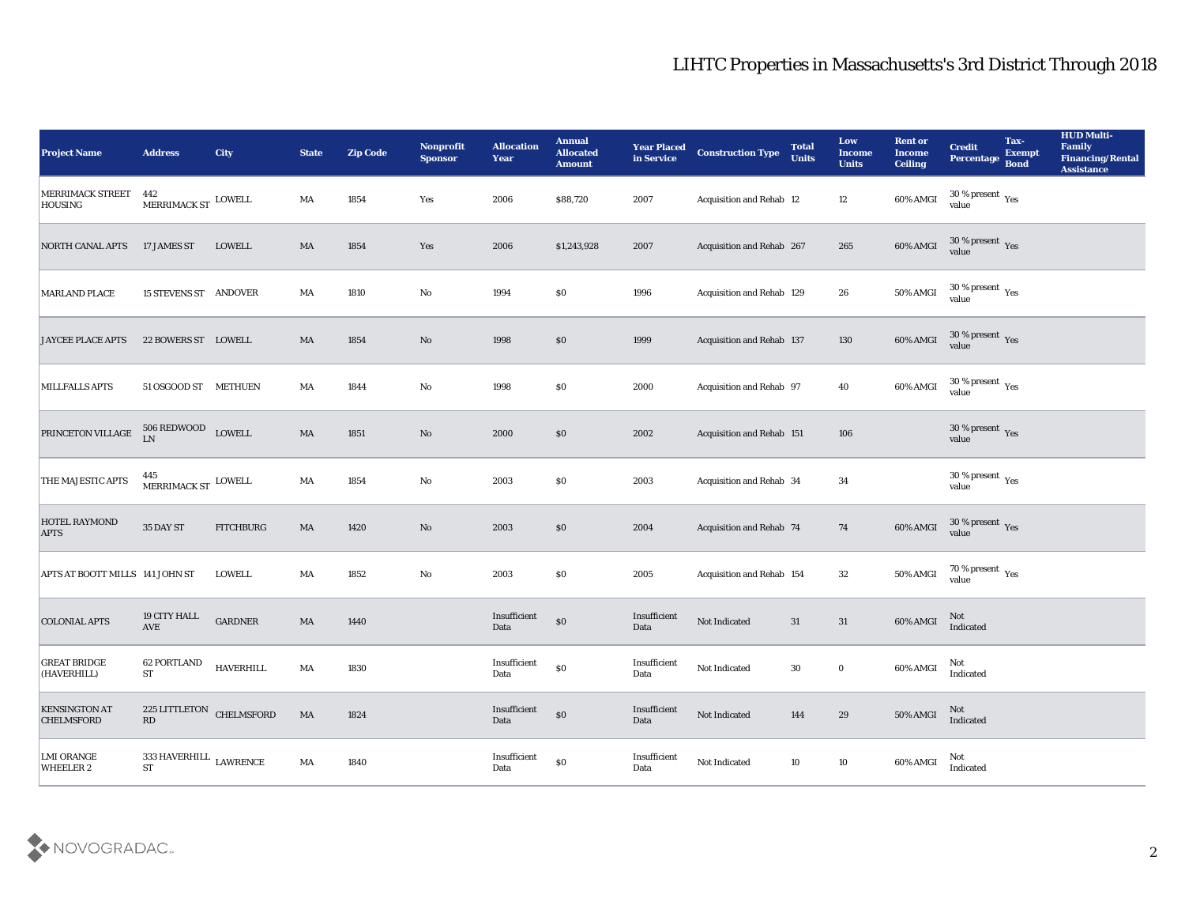| <b>Project Name</b>                       | <b>Address</b>                                     | <b>City</b>      | <b>State</b>           | <b>Zip Code</b> | Nonprofit<br><b>Sponsor</b> | <b>Allocation</b><br><b>Year</b> | <b>Annual</b><br><b>Allocated</b><br><b>Amount</b> | <b>Year Placed</b><br>in Service | <b>Construction Type</b>  | <b>Total</b><br><b>Units</b> | Low<br><b>Income</b><br><b>Units</b> | <b>Rent or</b><br><b>Income</b><br><b>Ceiling</b> | <b>Credit</b><br><b>Percentage</b>             | Tax-<br><b>Exempt</b><br><b>Bond</b> | <b>HUD Multi-</b><br>Family<br><b>Financing/Rental</b><br><b>Assistance</b> |
|-------------------------------------------|----------------------------------------------------|------------------|------------------------|-----------------|-----------------------------|----------------------------------|----------------------------------------------------|----------------------------------|---------------------------|------------------------------|--------------------------------------|---------------------------------------------------|------------------------------------------------|--------------------------------------|-----------------------------------------------------------------------------|
| MERRIMACK STREET<br>HOUSING               | 442<br>${\tt MERRIMACK\,ST}$ LOWELL                |                  | MA                     | 1854            | Yes                         | 2006                             | \$88,720                                           | 2007                             | Acquisition and Rehab 12  |                              | 12                                   | 60% AMGI                                          | $30\,\%$ present $\,$ Yes value                |                                      |                                                                             |
| NORTH CANAL APTS                          | 17 JAMES ST                                        | LOWELL           | MA                     | 1854            | Yes                         | 2006                             | \$1,243,928                                        | 2007                             | Acquisition and Rehab 267 |                              | 265                                  | 60% AMGI                                          | 30 % present Yes<br>value                      |                                      |                                                                             |
| <b>MARLAND PLACE</b>                      | <b>15 STEVENS ST ANDOVER</b>                       |                  | MA                     | 1810            | No                          | 1994                             | \$0                                                | 1996                             | Acquisition and Rehab 129 |                              | 26                                   | 50% AMGI                                          | 30 % present $_{\rm Yes}$<br>value             |                                      |                                                                             |
| <b>JAYCEE PLACE APTS</b>                  | 22 BOWERS ST LOWELL                                |                  | MA                     | 1854            | No                          | 1998                             | \$0                                                | 1999                             | Acquisition and Rehab 137 |                              | 130                                  | 60% AMGI                                          | $30\,\%$ present $\,$ Yes value                |                                      |                                                                             |
| <b>MILLFALLS APTS</b>                     | 51 OSGOOD ST METHUEN                               |                  | MA                     | 1844            | No                          | 1998                             | $\$0$                                              | 2000                             | Acquisition and Rehab 97  |                              | 40                                   | 60% AMGI                                          | $30\,\%$ present $\,$ Yes value                |                                      |                                                                             |
| PRINCETON VILLAGE                         | $506$ REDWOOD $$\tt LOWELL$$ LOW $\rm L}$          |                  | $\mathbf{M}\mathbf{A}$ | 1851            | No                          | 2000                             | $\$0$                                              | 2002                             | Acquisition and Rehab 151 |                              | 106                                  |                                                   | $30\,\%$ present $\,$ Yes value                |                                      |                                                                             |
| THE MAJESTIC APTS                         | 445<br>$\,$ MERRIMACK ST $\,$ LOWELL               |                  | MA                     | 1854            | No                          | 2003                             | \$0\$                                              | 2003                             | Acquisition and Rehab 34  |                              | 34                                   |                                                   | 30 % present $\,\rm \gamma_{\rm e s}$<br>value |                                      |                                                                             |
| HOTEL RAYMOND<br><b>APTS</b>              | 35 DAY ST                                          | <b>FITCHBURG</b> | MA                     | 1420            | No                          | 2003                             | \$0                                                | 2004                             | Acquisition and Rehab 74  |                              | 74                                   | 60% AMGI                                          | $30\,\%$ present $\,$ Yes value                |                                      |                                                                             |
| APTS AT BOOTT MILLS 141 JOHN ST           |                                                    | <b>LOWELL</b>    | MA                     | 1852            | $\mathbf {No}$              | 2003                             | \$0                                                | 2005                             | Acquisition and Rehab 154 |                              | 32                                   | 50% AMGI                                          | $70\,\%$ present $\,$ Yes value                |                                      |                                                                             |
| <b>COLONIAL APTS</b>                      | 19 CITY HALL<br>AVE                                | ${\tt GARDNER}$  | $\mathbf{M}\mathbf{A}$ | 1440            |                             | Insufficient<br>Data             | $\boldsymbol{\mathsf{S}}\boldsymbol{\mathsf{0}}$   | Insufficient<br>Data             | Not Indicated             | 31                           | 31                                   | 60% AMGI                                          | Not<br>Indicated                               |                                      |                                                                             |
| <b>GREAT BRIDGE</b><br>(HAVERHILL)        | 62 PORTLAND<br><b>ST</b>                           | <b>HAVERHILL</b> | MA                     | 1830            |                             | Insufficient<br>Data             | \$0                                                | Insufficient<br>Data             | Not Indicated             | 30                           | $\bf{0}$                             | 60% AMGI                                          | Not<br>Indicated                               |                                      |                                                                             |
| <b>KENSINGTON AT</b><br><b>CHELMSFORD</b> | 225 LITTLETON CHELMSFORD<br>$\mathbf{R}\mathbf{D}$ |                  | MA                     | 1824            |                             | Insufficient<br>Data             | $\$0$                                              | Insufficient<br>Data             | Not Indicated             | 144                          | 29                                   | 50% AMGI                                          | Not<br>Indicated                               |                                      |                                                                             |
| <b>LMI ORANGE</b><br>WHEELER 2            | 333 HAVERHILL $\,$ LAWRENCE $\,$<br><b>ST</b>      |                  | $\mathbf{M}\mathbf{A}$ | 1840            |                             | Insufficient<br>Data             | $\$0$                                              | Insufficient<br>Data             | Not Indicated             | 10                           | $10\,$                               | 60% AMGI                                          | Not<br>Indicated                               |                                      |                                                                             |

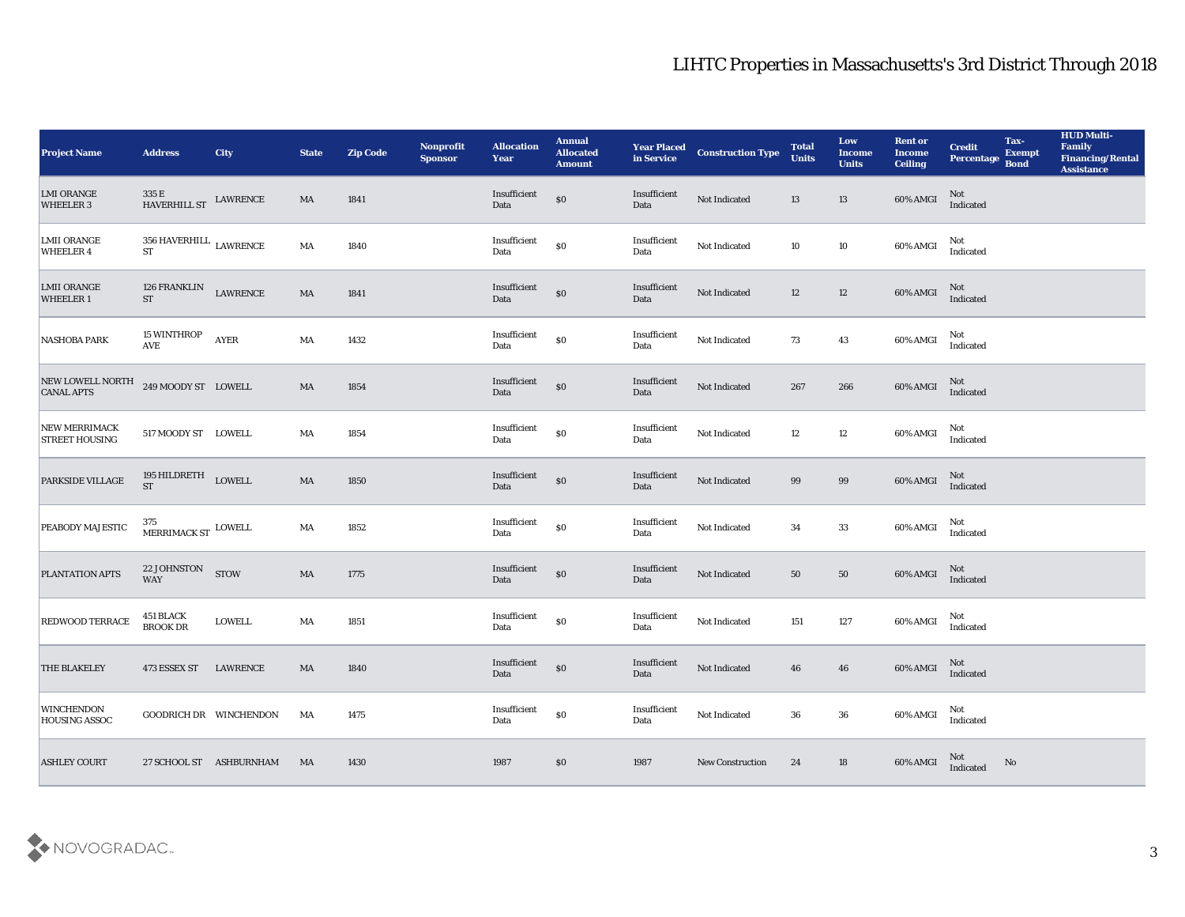| <b>Project Name</b>                    | <b>Address</b>                                            | <b>City</b>                   | <b>State</b>           | <b>Zip Code</b> | Nonprofit<br><b>Sponsor</b> | <b>Allocation</b><br><b>Year</b>            | <b>Annual</b><br><b>Allocated</b><br><b>Amount</b> | <b>Year Placed<br/>in Service</b> | <b>Construction Type</b> | <b>Total</b><br><b>Units</b> | Low<br>Income<br><b>Units</b> | <b>Rent or</b><br><b>Income</b><br><b>Ceiling</b> | <b>Credit</b><br>Percentage | Tax-<br><b>Exempt</b><br><b>Bond</b> | <b>HUD Multi-</b><br>Family<br><b>Financing/Rental</b><br><b>Assistance</b> |
|----------------------------------------|-----------------------------------------------------------|-------------------------------|------------------------|-----------------|-----------------------------|---------------------------------------------|----------------------------------------------------|-----------------------------------|--------------------------|------------------------------|-------------------------------|---------------------------------------------------|-----------------------------|--------------------------------------|-----------------------------------------------------------------------------|
| <b>LMI ORANGE</b><br>WHEELER 3         | $335\,\mathrm{E}$ HAVERHILL ST $\,$ LAWRENCE HAVERHILL ST |                               | MA                     | 1841            |                             | Insufficient<br>Data                        | $\$0$                                              | Insufficient<br>Data              | Not Indicated            | 13                           | 13                            | 60% AMGI                                          | Not<br>Indicated            |                                      |                                                                             |
| <b>LMII ORANGE</b><br><b>WHEELER 4</b> | $356\;\mathrm{HAVERHILL}\;$ LAWRENCE<br>ST                |                               | MA                     | 1840            |                             | Insufficient<br>Data                        | $\$0$                                              | Insufficient<br>Data              | Not Indicated            | 10                           | 10                            | $60\%$ AMGI                                       | Not<br>Indicated            |                                      |                                                                             |
| <b>LMII ORANGE</b><br><b>WHEELER1</b>  | 126 FRANKLIN LAWRENCE<br><b>ST</b>                        |                               | MA                     | 1841            |                             | Insufficient<br>Data                        | $\$0$                                              | Insufficient<br>Data              | Not Indicated            | 12                           | 12                            | $60\%$ AMGI                                       | Not<br>Indicated            |                                      |                                                                             |
| <b>NASHOBA PARK</b>                    | 15 WINTHROP<br>$\operatorname{AVE}$                       | AYER                          | MA                     | 1432            |                             | $\label{lem:optimal} In sufficient$<br>Data | $\$0$                                              | Insufficient<br>Data              | Not Indicated            | 73                           | 43                            | 60% AMGI                                          | Not<br>Indicated            |                                      |                                                                             |
| NEW LOWELL NORTH<br><b>CANAL APTS</b>  | 249 MOODY ST LOWELL                                       |                               | $\mathbf{M}\mathbf{A}$ | 1854            |                             | Insufficient<br>Data                        | $\$0$                                              | Insufficient<br>Data              | Not Indicated            | 267                          | 266                           | 60% AMGI                                          | Not<br>Indicated            |                                      |                                                                             |
| NEW MERRIMACK<br><b>STREET HOUSING</b> | 517 MOODY ST LOWELL                                       |                               | MA                     | 1854            |                             | Insufficient<br>Data                        | $\$0$                                              | Insufficient<br>Data              | Not Indicated            | 12                           | 12                            | 60% AMGI                                          | Not<br>Indicated            |                                      |                                                                             |
| PARKSIDE VILLAGE                       | $195\text{ HILDRETH}$ $\_$ LOWELL ST                      |                               | $\mathbf{M}\mathbf{A}$ | 1850            |                             | Insufficient<br>Data                        | $\$0$                                              | Insufficient<br>Data              | Not Indicated            | 99                           | 99                            | 60% AMGI                                          | Not<br>Indicated            |                                      |                                                                             |
| <b>PEABODY MAJESTIC</b>                | 375<br>${\tt MERRIMACK}$ ST $\,$ LOWELL                   |                               | MA                     | 1852            |                             | Insufficient<br>Data                        | $\$0$                                              | Insufficient<br>Data              | Not Indicated            | 34                           | 33                            | $60\%$ AMGI                                       | Not<br>Indicated            |                                      |                                                                             |
| PLANTATION APTS                        | 22 JOHNSTON<br>WAY                                        | <b>STOW</b>                   | MA                     | 1775            |                             | Insufficient<br>Data                        | $\$0$                                              | Insufficient<br>Data              | Not Indicated            | 50                           | 50                            | 60% AMGI                                          | Not<br>Indicated            |                                      |                                                                             |
| REDWOOD TERRACE                        | 451 BLACK<br>BROOK DR                                     | <b>LOWELL</b>                 | MA                     | 1851            |                             | Insufficient<br>Data                        | $\$0$                                              | Insufficient<br>Data              | Not Indicated            | 151                          | $127\,$                       | 60% AMGI                                          | Not<br>Indicated            |                                      |                                                                             |
| <b>THE BLAKELEY</b>                    | 473 ESSEX ST                                              | LAWRENCE                      | MA                     | 1840            |                             | Insufficient<br>Data                        | $\boldsymbol{\mathsf{S}}\boldsymbol{\mathsf{O}}$   | Insufficient<br>Data              | Not Indicated            | 46                           | 46                            | 60% AMGI                                          | Not<br>Indicated            |                                      |                                                                             |
| <b>WINCHENDON</b><br>HOUSING ASSOC     |                                                           | <b>GOODRICH DR WINCHENDON</b> | MA                     | 1475            |                             | $\bold{Insufficient}$<br>Data               | $\$0$                                              | Insufficient<br>Data              | Not Indicated            | 36                           | 36                            | 60% AMGI                                          | Not<br>Indicated            |                                      |                                                                             |
| <b>ASHLEY COURT</b>                    |                                                           | 27 SCHOOL ST ASHBURNHAM       | MA                     | 1430            |                             | 1987                                        | \$0                                                | 1987                              | New Construction         | 24                           | 18                            | 60% AMGI                                          | Not<br>Indicated            | No                                   |                                                                             |

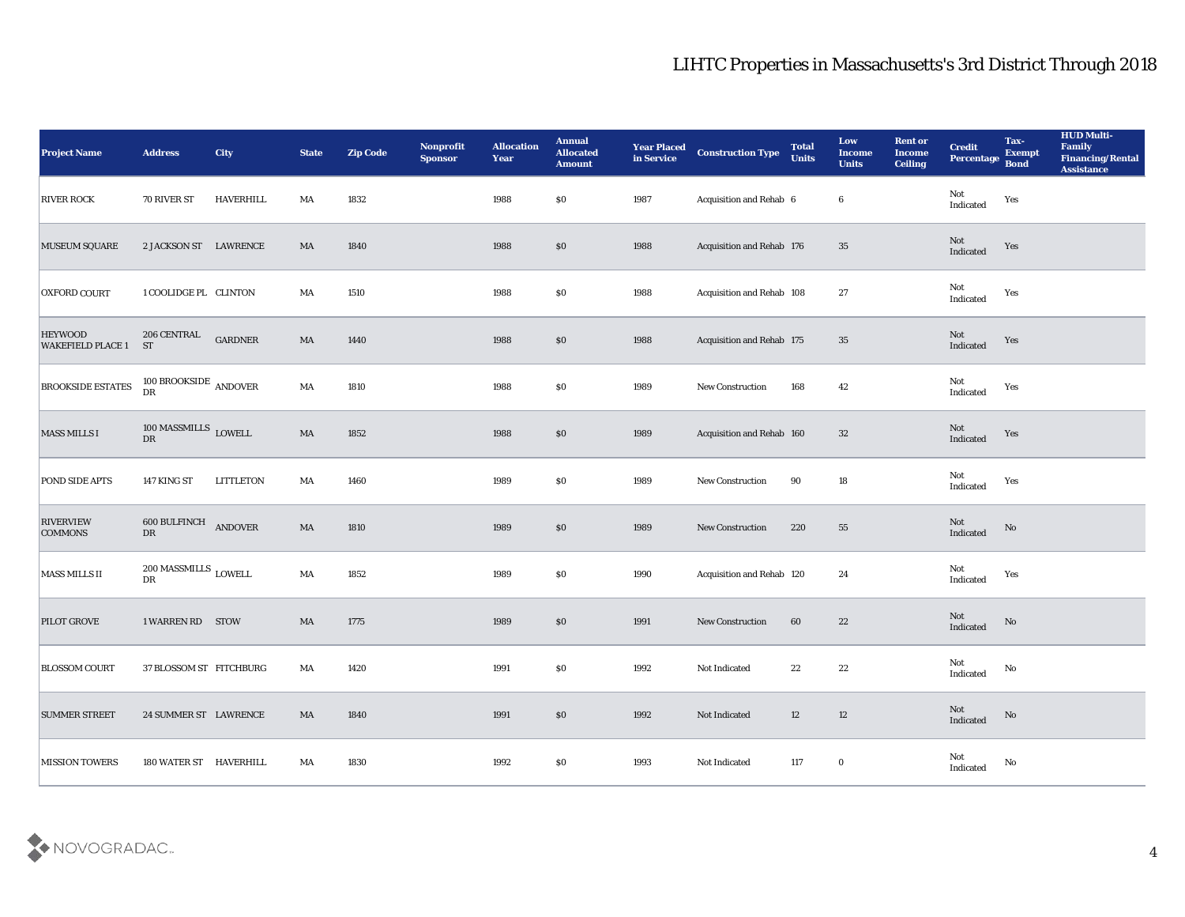| <b>Project Name</b>                        | <b>Address</b>                                       | City             | <b>State</b>           | <b>Zip Code</b> | Nonprofit<br><b>Sponsor</b> | <b>Allocation</b><br><b>Year</b> | <b>Annual</b><br><b>Allocated</b><br><b>Amount</b> | <b>Year Placed</b><br>in Service | <b>Construction Type</b>  | <b>Total</b><br><b>Units</b> | Low<br><b>Income</b><br><b>Units</b> | <b>Rent or</b><br><b>Income</b><br><b>Ceiling</b> | <b>Credit</b><br>Percentage       | Tax-<br><b>Exempt</b><br><b>Bond</b> | <b>HUD Multi-</b><br>Family<br><b>Financing/Rental</b><br><b>Assistance</b> |
|--------------------------------------------|------------------------------------------------------|------------------|------------------------|-----------------|-----------------------------|----------------------------------|----------------------------------------------------|----------------------------------|---------------------------|------------------------------|--------------------------------------|---------------------------------------------------|-----------------------------------|--------------------------------------|-----------------------------------------------------------------------------|
| <b>RIVER ROCK</b>                          | 70 RIVER ST                                          | HAVERHILL        | MA                     | 1832            |                             | 1988                             | \$0\$                                              | 1987                             | Acquisition and Rehab 6   |                              | 6                                    |                                                   | Not<br>$\operatorname{Indicated}$ | Yes                                  |                                                                             |
| <b>MUSEUM SQUARE</b>                       | 2 JACKSON ST LAWRENCE                                |                  | MA                     | 1840            |                             | 1988                             | \$0                                                | 1988                             | Acquisition and Rehab 176 |                              | 35                                   |                                                   | Not<br>Indicated                  | Yes                                  |                                                                             |
| <b>OXFORD COURT</b>                        | 1 COOLIDGE PL CLINTON                                |                  | MA                     | 1510            |                             | 1988                             | \$0                                                | 1988                             | Acquisition and Rehab 108 |                              | 27                                   |                                                   | Not<br>Indicated                  | Yes                                  |                                                                             |
| <b>HEYWOOD</b><br><b>WAKEFIELD PLACE 1</b> | 206 CENTRAL<br><b>ST</b>                             | <b>GARDNER</b>   | MA                     | 1440            |                             | 1988                             | \$0                                                | 1988                             | Acquisition and Rehab 175 |                              | 35                                   |                                                   | Not<br>Indicated                  | Yes                                  |                                                                             |
| <b>BROOKSIDE ESTATES</b>                   | 100 BROOKSIDE $\,$ ANDOVER<br>$\mathbf{D}\mathbf{R}$ |                  | MA                     | 1810            |                             | 1988                             | \$0\$                                              | 1989                             | New Construction          | 168                          | 42                                   |                                                   | Not<br>Indicated                  | Yes                                  |                                                                             |
| MASS MILLS I                               | $100~\rm{MASSMILLS}$ $_{\rm{LOWELL}}$ $_{\rm{DR}}$   |                  | MA                     | 1852            |                             | 1988                             | \$0                                                | 1989                             | Acquisition and Rehab 160 |                              | 32                                   |                                                   | Not<br>Indicated                  | Yes                                  |                                                                             |
| <b>POND SIDE APTS</b>                      | 147 KING ST                                          | <b>LITTLETON</b> | MA                     | 1460            |                             | 1989                             | $\$0$                                              | 1989                             | New Construction          | 90                           | 18                                   |                                                   | Not<br>Indicated                  | Yes                                  |                                                                             |
| <b>RIVERVIEW</b><br><b>COMMONS</b>         | 600 BULFINCH<br>${\rm D}{\rm R}$                     | <b>ANDOVER</b>   | MA                     | 1810            |                             | 1989                             | \$0                                                | 1989                             | New Construction          | 220                          | 55                                   |                                                   | Not<br>Indicated                  | No                                   |                                                                             |
| MASS MILLS II                              | $200\,{\rm MASSMILLS}$ LOWELL<br>${\rm D}{\rm R}$    |                  | $\mathbf{M}\mathbf{A}$ | 1852            |                             | 1989                             | \$0                                                | 1990                             | Acquisition and Rehab 120 |                              | 24                                   |                                                   | Not<br>Indicated                  | Yes                                  |                                                                             |
| PILOT GROVE                                | 1 WARREN RD STOW                                     |                  | MA                     | 1775            |                             | 1989                             | \$0                                                | 1991                             | <b>New Construction</b>   | 60                           | 22                                   |                                                   | Not<br>Indicated                  | $\rm\thinspace No$                   |                                                                             |
| <b>BLOSSOM COURT</b>                       | 37 BLOSSOM ST FITCHBURG                              |                  | MA                     | 1420            |                             | 1991                             | \$0\$                                              | 1992                             | Not Indicated             | 22                           | 22                                   |                                                   | Not<br>Indicated                  | No                                   |                                                                             |
| <b>SUMMER STREET</b>                       | 24 SUMMER ST LAWRENCE                                |                  | MA                     | 1840            |                             | 1991                             | $\boldsymbol{\mathsf{S}}\boldsymbol{\mathsf{0}}$   | 1992                             | Not Indicated             | 12                           | $12\,$                               |                                                   | Not<br>Indicated                  | $\rm No$                             |                                                                             |
| <b>MISSION TOWERS</b>                      | 180 WATER ST HAVERHILL                               |                  | MA                     | 1830            |                             | 1992                             | $\$0$                                              | 1993                             | Not Indicated             | 117                          | $\bf{0}$                             |                                                   | Not<br>Indicated                  | $\rm No$                             |                                                                             |

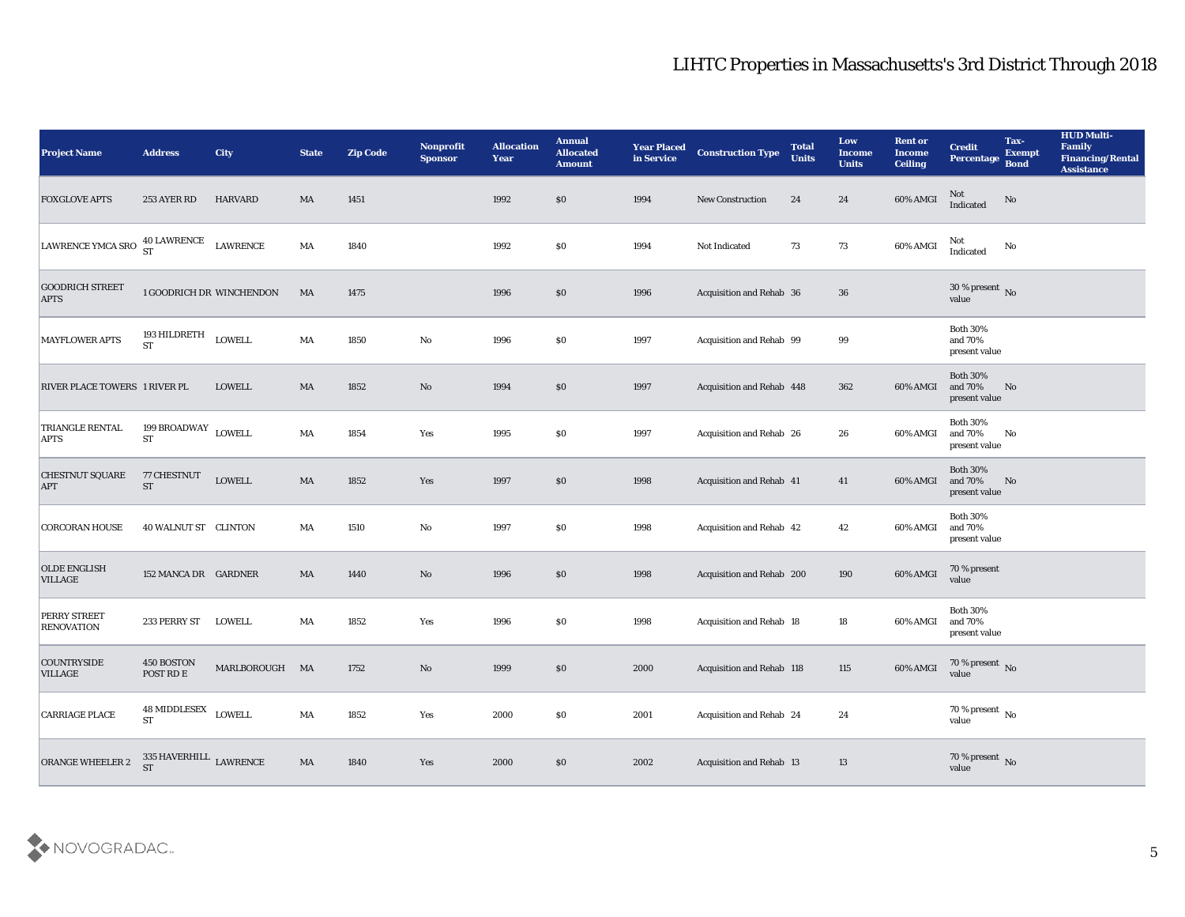| <b>Project Name</b>                      | <b>Address</b>                                     | City                            | <b>State</b>           | <b>Zip Code</b> | <b>Nonprofit</b><br><b>Sponsor</b> | <b>Allocation</b><br><b>Year</b> | <b>Annual</b><br><b>Allocated</b><br><b>Amount</b> | <b>Year Placed</b><br>in Service | <b>Construction Type</b>  | <b>Total</b><br><b>Units</b> | Low<br><b>Income</b><br><b>Units</b> | <b>Rent or</b><br><b>Income</b><br><b>Ceiling</b> | <b>Credit</b><br>Percentage                 | Tax-<br><b>Exempt</b><br><b>Bond</b> | <b>HUD Multi-</b><br>Family<br><b>Financing/Rental</b><br><b>Assistance</b> |
|------------------------------------------|----------------------------------------------------|---------------------------------|------------------------|-----------------|------------------------------------|----------------------------------|----------------------------------------------------|----------------------------------|---------------------------|------------------------------|--------------------------------------|---------------------------------------------------|---------------------------------------------|--------------------------------------|-----------------------------------------------------------------------------|
| <b>FOXGLOVE APTS</b>                     | 253 AYER RD                                        | HARVARD                         | MA                     | 1451            |                                    | 1992                             | \$0                                                | 1994                             | <b>New Construction</b>   | 24                           | 24                                   | 60% AMGI                                          | Not<br>Indicated                            | No                                   |                                                                             |
| LAWRENCE YMCA SRO 40 LAWRENCE            |                                                    | LAWRENCE                        | MA                     | 1840            |                                    | 1992                             | $\$0$                                              | 1994                             | Not Indicated             | 73                           | 73                                   | 60% AMGI                                          | Not<br>Indicated                            | No                                   |                                                                             |
| <b>GOODRICH STREET</b><br><b>APTS</b>    |                                                    | <b>1 GOODRICH DR WINCHENDON</b> | MA                     | 1475            |                                    | 1996                             | $\$0$                                              | 1996                             | Acquisition and Rehab 36  |                              | 36                                   |                                                   | 30 % present $\overline{N_0}$<br>value      |                                      |                                                                             |
| <b>MAYFLOWER APTS</b>                    | 193 HILDRETH<br><b>ST</b>                          | LOWELL                          | MA                     | 1850            | $\mathbf{No}$                      | 1996                             | $\$0$                                              | 1997                             | Acquisition and Rehab 99  |                              | 99                                   |                                                   | <b>Both 30%</b><br>and 70%<br>present value |                                      |                                                                             |
| <b>RIVER PLACE TOWERS 1 RIVER PL</b>     |                                                    | <b>LOWELL</b>                   | MA                     | 1852            | No                                 | 1994                             | \$0                                                | 1997                             | Acquisition and Rehab 448 |                              | 362                                  | 60% AMGI                                          | <b>Both 30%</b><br>and 70%<br>present value | No                                   |                                                                             |
| TRIANGLE RENTAL<br><b>APTS</b>           | 199 $\texttt{BROADWAY}\xspace$ LOWELL<br><b>ST</b> |                                 | MA                     | 1854            | Yes                                | 1995                             | \$0                                                | 1997                             | Acquisition and Rehab 26  |                              | 26                                   | 60% AMGI                                          | <b>Both 30%</b><br>and 70%<br>present value | No                                   |                                                                             |
| <b>CHESTNUT SQUARE</b><br><b>APT</b>     | 77 CHESTNUT<br><b>ST</b>                           | LOWELL                          | $\mathbf{M}\mathbf{A}$ | 1852            | Yes                                | 1997                             | $\$0$                                              | 1998                             | Acquisition and Rehab 41  |                              | 41                                   | 60% AMGI                                          | <b>Both 30%</b><br>and 70%<br>present value | No                                   |                                                                             |
| <b>CORCORAN HOUSE</b>                    | 40 WALNUT ST CLINTON                               |                                 | MA                     | 1510            | No                                 | 1997                             | \$0                                                | 1998                             | Acquisition and Rehab 42  |                              | 42                                   | 60% AMGI                                          | <b>Both 30%</b><br>and 70%<br>present value |                                      |                                                                             |
| <b>OLDE ENGLISH</b><br><b>VILLAGE</b>    | 152 MANCA DR GARDNER                               |                                 | MA                     | 1440            | No                                 | 1996                             | \$0                                                | 1998                             | Acquisition and Rehab 200 |                              | 190                                  | 60% AMGI                                          | 70 % present<br>value                       |                                      |                                                                             |
| <b>PERRY STREET</b><br><b>RENOVATION</b> | 233 PERRY ST                                       | LOWELL                          | MA                     | 1852            | Yes                                | 1996                             | \$0                                                | 1998                             | Acquisition and Rehab 18  |                              | 18                                   | 60% AMGI                                          | <b>Both 30%</b><br>and 70%<br>present value |                                      |                                                                             |
| <b>COUNTRYSIDE</b><br><b>VILLAGE</b>     | 450 BOSTON<br>POST RD E                            | MARLBOROUGH MA                  |                        | 1752            | No                                 | 1999                             | $\$0$                                              | 2000                             | Acquisition and Rehab 118 |                              | 115                                  | 60% AMGI                                          | 70 % present No<br>value                    |                                      |                                                                             |
| <b>CARRIAGE PLACE</b>                    | $48$ MIDDLESEX $\,$ LOWELL<br><b>ST</b>            |                                 | $\mathbf{M}\mathbf{A}$ | 1852            | Yes                                | 2000                             | $\$0$                                              | 2001                             | Acquisition and Rehab 24  |                              | 24                                   |                                                   | $70\,\%$ present $\,$ No value              |                                      |                                                                             |
| ORANGE WHEELER 2                         | $335$ HAVERHILL $\,$ LAWRENCE $\,$ ST              |                                 | $\mathbf{M}\mathbf{A}$ | 1840            | $\operatorname{\mathsf{Yes}}$      | 2000                             | $\$0$                                              | 2002                             | Acquisition and Rehab 13  |                              | 13                                   |                                                   | $70\,\%$ present $\,$ No value              |                                      |                                                                             |

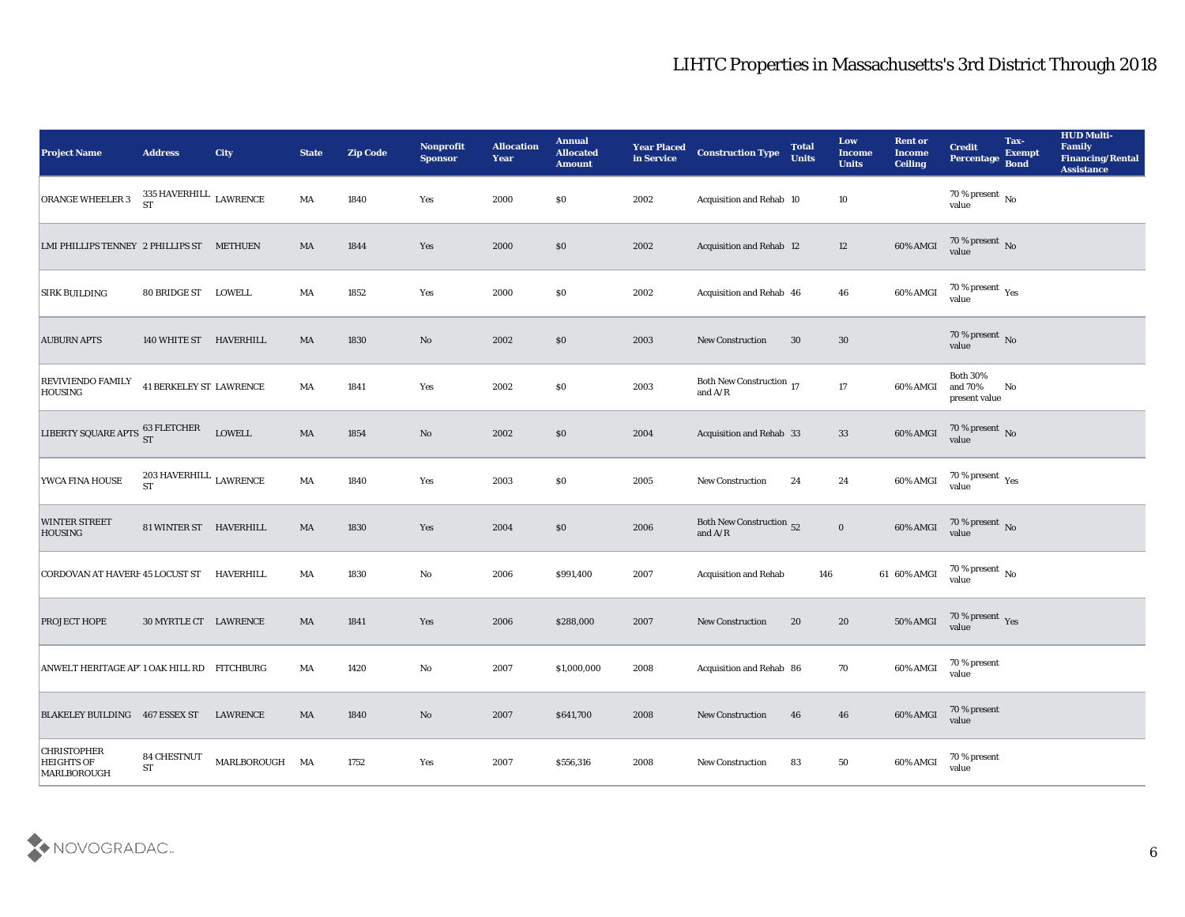| <b>Project Name</b>                                    | <b>Address</b>                                               | <b>City</b>    | <b>State</b>           | <b>Zip Code</b> | Nonprofit<br><b>Sponsor</b> | <b>Allocation</b><br><b>Year</b> | <b>Annual</b><br><b>Allocated</b><br><b>Amount</b> | <b>Year Placed</b><br>in Service | <b>Construction Type</b>               | <b>Total</b><br><b>Units</b> | Low<br><b>Income</b><br><b>Units</b> | <b>Rent or</b><br><b>Income</b><br><b>Ceiling</b> | <b>Credit</b><br>Percentage                 | Tax-<br><b>Exempt</b><br><b>Bond</b> | <b>HUD Multi-</b><br>Family<br><b>Financing/Rental</b><br><b>Assistance</b> |
|--------------------------------------------------------|--------------------------------------------------------------|----------------|------------------------|-----------------|-----------------------------|----------------------------------|----------------------------------------------------|----------------------------------|----------------------------------------|------------------------------|--------------------------------------|---------------------------------------------------|---------------------------------------------|--------------------------------------|-----------------------------------------------------------------------------|
| ORANGE WHEELER 3                                       | $335\,$ HAVERHILL $\,$ LAWRENCE ST                           |                | MA                     | 1840            | Yes                         | 2000                             | \$0                                                | 2002                             | Acquisition and Rehab 10               |                              | 10                                   |                                                   | $70\,\% \,present \over value$              |                                      |                                                                             |
| LMI PHILLIPS TENNEY 2 PHILLIPS ST METHUEN              |                                                              |                | MA                     | 1844            | Yes                         | 2000                             | \$0                                                | 2002                             | Acquisition and Rehab 12               |                              | 12                                   | 60% AMGI                                          | $70$ % present $\,$ No $\,$ value           |                                      |                                                                             |
| <b>SIRK BUILDING</b>                                   | 80 BRIDGE ST LOWELL                                          |                | MA                     | 1852            | Yes                         | 2000                             | \$0                                                | 2002                             | Acquisition and Rehab 46               |                              | 46                                   | 60% AMGI                                          | 70 % present $\rm\thinspace_{Yes}$<br>value |                                      |                                                                             |
| <b>AUBURN APTS</b>                                     | 140 WHITE ST HAVERHILL                                       |                | MA                     | 1830            | No                          | 2002                             | \$0                                                | 2003                             | New Construction                       | 30                           | 30                                   |                                                   | $70$ % present $\,$ No $\,$ value           |                                      |                                                                             |
| <b>REVIVIENDO FAMILY</b><br><b>HOUSING</b>             | <b>41 BERKELEY ST LAWRENCE</b>                               |                | MA                     | 1841            | Yes                         | 2002                             | \$0                                                | 2003                             | Both New Construction $$\,17$$ and A/R |                              | 17                                   | 60% AMGI                                          | <b>Both 30%</b><br>and 70%<br>present value | No                                   |                                                                             |
| LIBERTY SQUARE APTS 63 FLETCHER                        |                                                              | LOWELL         | $\mathbf{M}\mathbf{A}$ | 1854            | $\rm\thinspace No$          | 2002                             | \$0                                                | 2004                             | Acquisition and Rehab 33               |                              | 33                                   | 60% AMGI                                          | $70\,\%$ present $\,$ No value              |                                      |                                                                             |
| YWCA FINA HOUSE                                        | $203\,\mathrm{HAVERHILL}$ $\,\mathrm{LAWRENCE}$<br><b>ST</b> |                | $\mathbf{M}\mathbf{A}$ | 1840            | Yes                         | 2003                             | \$0                                                | 2005                             | New Construction                       | 24                           | 24                                   | 60% AMGI                                          | $70\,\%$ present $\,$ Yes value             |                                      |                                                                             |
| <b>WINTER STREET</b><br><b>HOUSING</b>                 | 81 WINTER ST HAVERHILL                                       |                | MA                     | 1830            | Yes                         | 2004                             | \$0                                                | 2006                             | Both New Construction 52<br>and $A/R$  |                              | $\mathbf 0$                          | 60% AMGI                                          | $70\,\%$ present $\,$ No value              |                                      |                                                                             |
| CORDOVAN AT HAVERF 45 LOCUST ST                        |                                                              | HAVERHILL      | MA                     | 1830            | No                          | 2006                             | \$991,400                                          | 2007                             | <b>Acquisition and Rehab</b>           | 146                          |                                      | 61 60% AMGI                                       | $70$ % present $_{\rm No}$                  |                                      |                                                                             |
| <b>PROJECT HOPE</b>                                    | 30 MYRTLE CT LAWRENCE                                        |                | MA                     | 1841            | Yes                         | 2006                             | \$288,000                                          | 2007                             | New Construction                       | 20                           | 20                                   | 50% AMGI                                          | $70\,\%$ present $\,\mathrm{Yes}$ value     |                                      |                                                                             |
| ANWELT HERITAGE AP 1 OAK HILL RD FITCHBURG             |                                                              |                | MA                     | 1420            | No                          | 2007                             | \$1,000,000                                        | 2008                             | Acquisition and Rehab 86               |                              | 70                                   | 60% AMGI                                          | 70 % present<br>value                       |                                      |                                                                             |
| BLAKELEY BUILDING 467 ESSEX ST                         |                                                              | LAWRENCE       | MA                     | 1840            | $\rm\thinspace No$          | 2007                             | \$641,700                                          | 2008                             | New Construction                       | 46                           | 46                                   | 60% AMGI                                          | 70 % present<br>value                       |                                      |                                                                             |
| <b>CHRISTOPHER</b><br><b>HEIGHTS OF</b><br>MARLBOROUGH | <b>84 CHESTNUT</b><br><b>ST</b>                              | MARLBOROUGH MA |                        | 1752            | Yes                         | 2007                             | \$556,316                                          | 2008                             | New Construction                       | 83                           | 50                                   | 60% AMGI                                          | 70 % present<br>value                       |                                      |                                                                             |

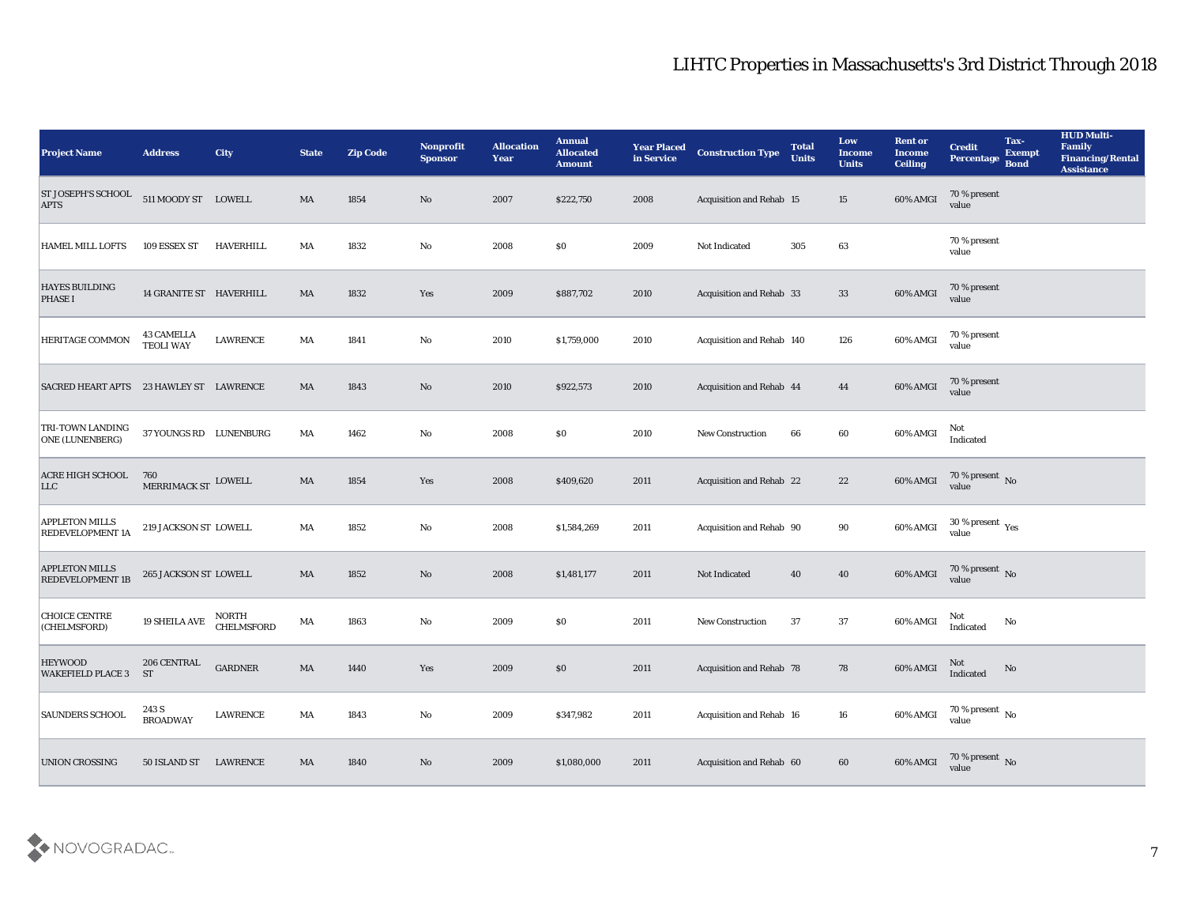| <b>Project Name</b>                              | <b>Address</b>                        | City                | <b>State</b>           | <b>Zip Code</b> | Nonprofit<br><b>Sponsor</b> | <b>Allocation</b><br><b>Year</b> | <b>Annual</b><br><b>Allocated</b><br><b>Amount</b> | <b>Year Placed</b><br>in Service | <b>Construction Type</b>        | <b>Total</b><br><b>Units</b> | Low<br><b>Income</b><br><b>Units</b> | <b>Rent or</b><br>Income<br><b>Ceiling</b> | <b>Credit</b><br>Percentage                          | Tax-<br><b>Exempt</b><br><b>Bond</b> | <b>HUD Multi-</b><br><b>Family</b><br><b>Financing/Rental</b><br><b>Assistance</b> |
|--------------------------------------------------|---------------------------------------|---------------------|------------------------|-----------------|-----------------------------|----------------------------------|----------------------------------------------------|----------------------------------|---------------------------------|------------------------------|--------------------------------------|--------------------------------------------|------------------------------------------------------|--------------------------------------|------------------------------------------------------------------------------------|
| ST JOSEPH'S SCHOOL<br><b>APTS</b>                | 511 MOODY ST LOWELL                   |                     | MA                     | 1854            | No                          | 2007                             | \$222,750                                          | 2008                             | Acquisition and Rehab 15        |                              | 15                                   | 60% AMGI                                   | 70 % present<br>value                                |                                      |                                                                                    |
| <b>HAMEL MILL LOFTS</b>                          | 109 ESSEX ST                          | <b>HAVERHILL</b>    | MA                     | 1832            | No                          | 2008                             | $\$0$                                              | 2009                             | Not Indicated                   | 305                          | 63                                   |                                            | 70 % present<br>value                                |                                      |                                                                                    |
| <b>HAYES BUILDING</b><br><b>PHASE I</b>          | 14 GRANITE ST HAVERHILL               |                     | MA                     | 1832            | Yes                         | 2009                             | \$887,702                                          | 2010                             | Acquisition and Rehab 33        |                              | 33                                   | 60% AMGI                                   | 70 % present<br>value                                |                                      |                                                                                    |
| HERITAGE COMMON                                  | <b>43 CAMELLA</b><br><b>TEOLI WAY</b> | LAWRENCE            | MA                     | 1841            | No                          | 2010                             | \$1,759,000                                        | 2010                             | Acquisition and Rehab 140       |                              | 126                                  | 60% AMGI                                   | 70 % present<br>value                                |                                      |                                                                                    |
| SACRED HEART APTS 23 HAWLEY ST LAWRENCE          |                                       |                     | MA                     | 1843            | No                          | 2010                             | \$922,573                                          | 2010                             | Acquisition and Rehab 44        |                              | 44                                   | 60% AMGI                                   | 70 % present<br>value                                |                                      |                                                                                    |
| <b>TRI-TOWN LANDING</b><br>ONE (LUNENBERG)       | 37 YOUNGS RD LUNENBURG                |                     | MA                     | 1462            | $\mathbf{No}$               | 2008                             | $\$0$                                              | 2010                             | <b>New Construction</b>         | 66                           | 60                                   | 60% AMGI                                   | Not<br>Indicated                                     |                                      |                                                                                    |
| <b>ACRE HIGH SCHOOL</b><br>LLC                   | 760<br>MERRIMACK ST LOWELL            |                     | MA                     | 1854            | Yes                         | 2008                             | \$409,620                                          | 2011                             | Acquisition and Rehab 22        |                              | 22                                   | 60% AMGI                                   | $70\%$ present No<br>value                           |                                      |                                                                                    |
| <b>APPLETON MILLS</b><br><b>REDEVELOPMENT 1A</b> | 219 JACKSON ST LOWELL                 |                     | MA                     | 1852            | $\mathbf{N}\mathbf{o}$      | 2008                             | \$1,584,269                                        | 2011                             | Acquisition and Rehab 90        |                              | 90                                   | 60% AMGI                                   | 30 % present $\rm\thinspace\gamma_{\rm es}$<br>value |                                      |                                                                                    |
| <b>APPLETON MILLS</b><br><b>REDEVELOPMENT 1B</b> | 265 JACKSON ST LOWELL                 |                     | MA                     | 1852            | No                          | 2008                             | \$1,481,177                                        | 2011                             | Not Indicated                   | 40                           | 40                                   | 60% AMGI                                   | 70 % present $\,$ No $\,$<br>value                   |                                      |                                                                                    |
| <b>CHOICE CENTRE</b><br>(CHELMSFORD)             | <b>19 SHEILA AVE</b>                  | NORTH<br>CHELMSFORD | MA                     | 1863            | No                          | 2009                             | $\$0$                                              | 2011                             | <b>New Construction</b>         | 37                           | 37                                   | 60% AMGI                                   | Not<br>Indicated                                     | No                                   |                                                                                    |
| <b>HEYWOOD</b><br><b>WAKEFIELD PLACE 3</b>       | 206 CENTRAL<br>ST                     | <b>GARDNER</b>      | MA                     | 1440            | Yes                         | 2009                             | $\$0$                                              | 2011                             | <b>Acquisition and Rehab 78</b> |                              | 78                                   | 60% AMGI                                   | Not<br>Indicated                                     | No                                   |                                                                                    |
| <b>SAUNDERS SCHOOL</b>                           | 243 S<br><b>BROADWAY</b>              | <b>LAWRENCE</b>     | $\mathbf{M}\mathbf{A}$ | 1843            | $\mathbf {No}$              | 2009                             | \$347,982                                          | 2011                             | Acquisition and Rehab 16        |                              | 16                                   | 60% AMGI                                   | $70\,\%$ present $\,$ No value                       |                                      |                                                                                    |
| <b>UNION CROSSING</b>                            | 50 ISLAND ST                          | <b>LAWRENCE</b>     | MA                     | 1840            | $\bf No$                    | 2009                             | \$1,080,000                                        | 2011                             | Acquisition and Rehab 60        |                              | $60\,$                               | 60% AMGI                                   | $70\,\%$ present $\,$ No value                       |                                      |                                                                                    |

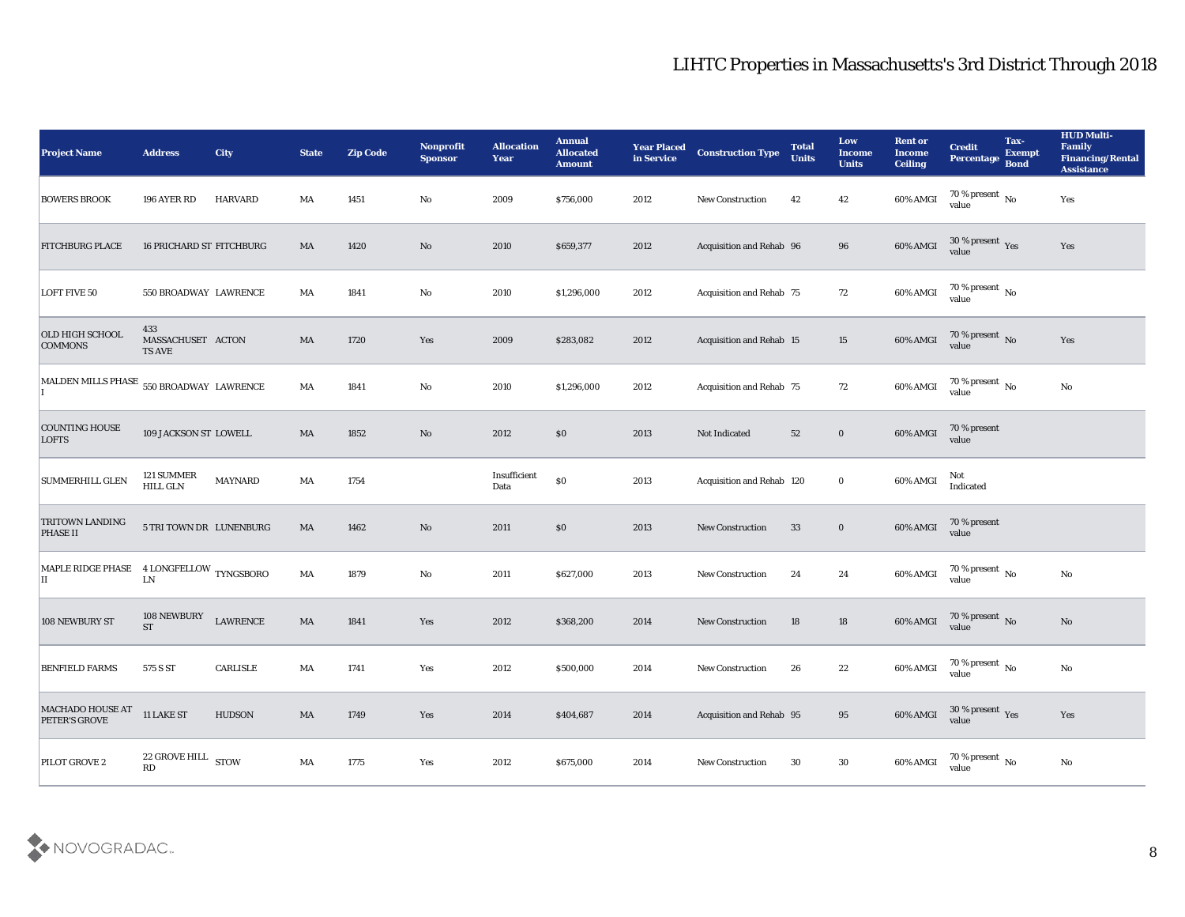| <b>Project Name</b>                            | <b>Address</b>                            | <b>City</b>     | <b>State</b>           | <b>Zip Code</b> | Nonprofit<br><b>Sponsor</b> | <b>Allocation</b><br><b>Year</b> | <b>Annual</b><br><b>Allocated</b><br><b>Amount</b> | <b>Year Placed</b><br>in Service | <b>Construction Type</b>        | <b>Total</b><br><b>Units</b> | Low<br><b>Income</b><br><b>Units</b> | <b>Rent or</b><br><b>Income</b><br><b>Ceiling</b> | <b>Credit</b><br><b>Percentage</b> | Tax-<br><b>Exempt</b><br><b>Bond</b> | <b>HUD Multi-</b><br>Family<br><b>Financing/Rental</b><br><b>Assistance</b> |
|------------------------------------------------|-------------------------------------------|-----------------|------------------------|-----------------|-----------------------------|----------------------------------|----------------------------------------------------|----------------------------------|---------------------------------|------------------------------|--------------------------------------|---------------------------------------------------|------------------------------------|--------------------------------------|-----------------------------------------------------------------------------|
| <b>BOWERS BROOK</b>                            | 196 AYER RD                               | HARVARD         | MA                     | 1451            | No                          | 2009                             | \$756,000                                          | 2012                             | New Construction                | 42                           | 42                                   | 60% AMGI                                          | 70 % present $\,$ No $\,$<br>value |                                      | Yes                                                                         |
| <b>FITCHBURG PLACE</b>                         | <b>16 PRICHARD ST FITCHBURG</b>           |                 | MA                     | 1420            | No                          | 2010                             | \$659,377                                          | 2012                             | Acquisition and Rehab 96        |                              | 96                                   | 60% AMGI                                          | $30\%$ present $\gamma_{\rm es}$   |                                      | Yes                                                                         |
| <b>LOFT FIVE 50</b>                            | 550 BROADWAY LAWRENCE                     |                 | MA                     | 1841            | $\mathbf{N}\mathbf{o}$      | 2010                             | \$1,296,000                                        | 2012                             | Acquisition and Rehab 75        |                              | 72                                   | 60% AMGI                                          | 70 % present $\,$ No $\,$<br>value |                                      |                                                                             |
| OLD HIGH SCHOOL<br><b>COMMONS</b>              | 433<br>MASSACHUSET ACTON<br><b>TS AVE</b> |                 | MA                     | 1720            | Yes                         | 2009                             | \$283,082                                          | 2012                             | <b>Acquisition and Rehab 15</b> |                              | 15                                   | 60% AMGI                                          | $70\,\%$ present $\,$ No value     |                                      | Yes                                                                         |
| MALDEN MILLS PHASE 550 BROADWAY LAWRENCE       |                                           |                 | MA                     | 1841            | $\mathbf{N}\mathbf{o}$      | 2010                             | \$1,296,000                                        | 2012                             | Acquisition and Rehab 75        |                              | 72                                   | 60% AMGI                                          | $70\,\%$ present $\,$ No value     |                                      | $\rm No$                                                                    |
| <b>COUNTING HOUSE</b><br><b>LOFTS</b>          | 109 JACKSON ST LOWELL                     |                 | MA                     | 1852            | No                          | 2012                             | \$0                                                | 2013                             | Not Indicated                   | 52                           | $\bf{0}$                             | 60% AMGI                                          | 70 % present<br>value              |                                      |                                                                             |
| <b>SUMMERHILL GLEN</b>                         | 121 SUMMER<br><b>HILL GLN</b>             | <b>MAYNARD</b>  | MA                     | 1754            |                             | Insufficient<br>Data             | $\$0$                                              | 2013                             | Acquisition and Rehab 120       |                              | $\bf{0}$                             | 60% AMGI                                          | Not<br>Indicated                   |                                      |                                                                             |
| <b>TRITOWN LANDING</b><br><b>PHASE II</b>      | 5 TRI TOWN DR LUNENBURG                   |                 | MA                     | 1462            | $\rm No$                    | 2011                             | \$0                                                | 2013                             | <b>New Construction</b>         | 33                           | $\bf{0}$                             | $60\%$ AMGI                                       | 70 % present<br>value              |                                      |                                                                             |
| MAPLE RIDGE PHASE 4 LONGFELLOW TYNGSBORO<br>IІ | ${\rm LN}$                                |                 | MA                     | 1879            | $\mathbf{N}\mathbf{o}$      | 2011                             | \$627,000                                          | 2013                             | New Construction                | 24                           | 24                                   | 60% AMGI                                          | 70 % present $\,$ No $\,$<br>value |                                      | $\mathbf {No}$                                                              |
| 108 NEWBURY ST                                 | 108 NEWBURY<br><b>ST</b>                  | <b>LAWRENCE</b> | $\mathbf{M}\mathbf{A}$ | 1841            | Yes                         | 2012                             | \$368,200                                          | 2014                             | <b>New Construction</b>         | 18                           | 18                                   | 60% AMGI                                          | $70$ % present $\,$ No $\,$ value  |                                      | No                                                                          |
| <b>BENFIELD FARMS</b>                          | 575 S ST                                  | <b>CARLISLE</b> | MA                     | 1741            | Yes                         | 2012                             | \$500,000                                          | 2014                             | <b>New Construction</b>         | 26                           | 22                                   | $60\%$ AMGI                                       | 70 % present $\,$ No $\,$<br>value |                                      | $\rm No$                                                                    |
| MACHADO HOUSE AT<br>PETER'S GROVE              | 11 LAKE ST                                | <b>HUDSON</b>   | $\mathbf{M}\mathbf{A}$ | 1749            | Yes                         | 2014                             | \$404,687                                          | 2014                             | Acquisition and Rehab 95        |                              | 95                                   | 60% AMGI                                          | $30\,\%$ present $\,$ Yes value    |                                      | Yes                                                                         |
| PILOT GROVE 2                                  | 22 GROVE HILL $\,$ STOW<br>RD             |                 | $\mathbf{M}\mathbf{A}$ | 1775            | Yes                         | 2012                             | \$675,000                                          | 2014                             | New Construction                | 30                           | $30\,$                               | 60% AMGI                                          | $70\,\%$ present $\,$ No value     |                                      | $\mathbf {No}$                                                              |